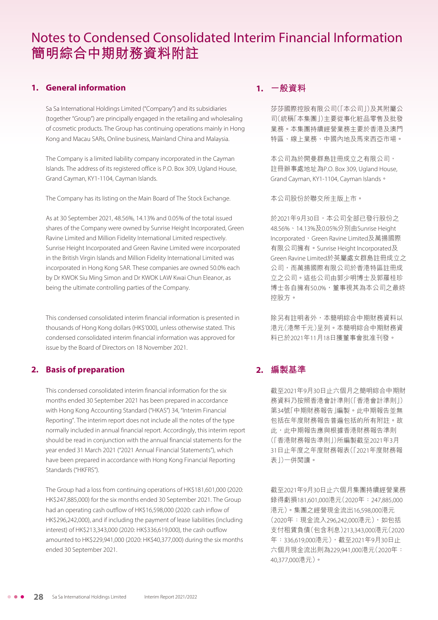# Notes to Condensed Consolidated Interim Financial Information **簡明綜合中期財務資料附註**

# **1. General information**

Sa Sa International Holdings Limited ("Company") and its subsidiaries (together "Group") are principally engaged in the retailing and wholesaling of cosmetic products. The Group has continuing operations mainly in Hong Kong and Macau SARs, Online business, Mainland China and Malaysia.

The Company is a limited liability company incorporated in the Cayman Islands. The address of its registered office is P.O. Box 309, Ugland House, Grand Cayman, KY1-1104, Cayman Islands.

The Company has its listing on the Main Board of The Stock Exchange.

As at 30 September 2021, 48.56%, 14.13% and 0.05% of the total issued shares of the Company were owned by Sunrise Height Incorporated, Green Ravine Limited and Million Fidelity International Limited respectively. Sunrise Height Incorporated and Green Ravine Limited were incorporated in the British Virgin Islands and Million Fidelity International Limited was incorporated in Hong Kong SAR. These companies are owned 50.0% each by Dr KWOK Siu Ming Simon and Dr KWOK LAW Kwai Chun Eleanor, as being the ultimate controlling parties of the Company.

This condensed consolidated interim financial information is presented in thousands of Hong Kong dollars (HK\$'000), unless otherwise stated. This condensed consolidated interim financial information was approved for issue by the Board of Directors on 18 November 2021.

#### **2. Basis of preparation**

This condensed consolidated interim financial information for the six months ended 30 September 2021 has been prepared in accordance with Hong Kong Accounting Standard ("HKAS") 34, "Interim Financial Reporting". The interim report does not include all the notes of the type normally included in annual financial report. Accordingly, this interim report should be read in conjunction with the annual financial statements for the year ended 31 March 2021 ("2021 Annual Financial Statements"), which have been prepared in accordance with Hong Kong Financial Reporting Standards ("HKFRS").

The Group had a loss from continuing operations of HK\$181,601,000 (2020: HK\$247,885,000) for the six months ended 30 September 2021. The Group had an operating cash outflow of HK\$16,598,000 (2020: cash inflow of HK\$296,242,000), and if including the payment of lease liabilities (including interest) of HK\$213,343,000 (2020: HK\$336,619,000), the cash outflow amounted to HK\$229,941,000 (2020: HK\$40,377,000) during the six months ended 30 September 2021.

# **1. 一般資料**

莎莎國際控股有限公司(「本公司」)及其附屬公 司(統稱「本集團」)主要從事化粧品零售及批發 業務。本集團持續經營業務主要於香港及澳門 特區、線上業務、中國內地及馬來西亞市場。

本公司為於開曼群島註冊成立之有限公司, 註冊辦事處地址為P.O. Box 309, Ugland House, Grand Cayman, KY1-1104, Cayman Islands。

本公司股份於聯交所主版上市。

於2021年9月30日,本公司全部已發行股份之 48.56%、14.13%及0.05%分別由Sunrise Height Incorporated、Green Ravine Limited及萬揚國際 有限公司擁有。Sunrise Height Incorporated及 Green Ravine Limited於英屬處女群島註冊成立之 公司,而萬揚國際有限公司於香港特區註冊成 立之公司。這些公司由郭少明博士及郭羅桂珍 博士各自擁有50.0%,董事視其為本公司之最終 控股方。

除另有註明者外,本簡明綜合中期財務資料以 港元(港幣千元)呈列。本簡明綜合中期財務資 料已於2021年11月18日獲董事會批准刊發。

# **2. 編製基準**

截至2021年9月30日止六個月之簡明綜合中期財 務資料乃按照香港會計準則(「香港會計準則」) 第34號「中期財務報告」編製。此中期報告並無 包括在年度財務報告普遍包括的所有附註。故 此,此中期報告應與根據香港財務報告準則 (「香港財務報告準則」)所編製截至2021年3月 31日止年度之年度財務報表(「2021年度財務報 表」)一併閱讀。

截至2021年9月30日止六個月集團持續經營業務 錄得虧損181,601,000港元(2020年:247,885,000 港元)。集團之經營現金流出16,598,000港元 (2020年:現金流入296,242,000港元),如包括 支付租賃負債(包含利息)213,343,000港元(2020 年:336,619,000港元),截至2021年9月30日止 六個月現金流出則為229,941,000港元(2020年: 40,377,000港元)。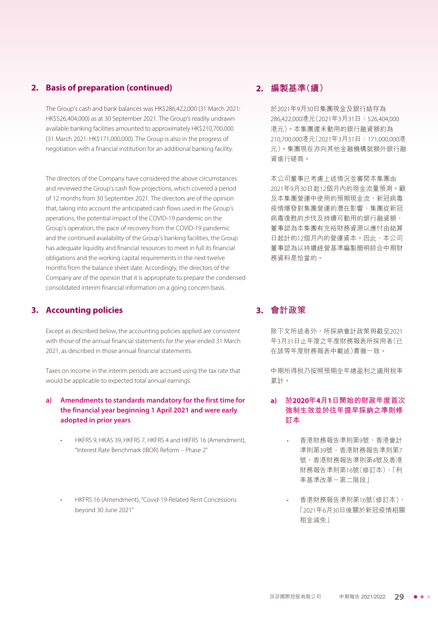# **2. Basis of preparation (continued)**

The Group's cash and bank balances was HK\$286,422,000 (31 March 2021: HK\$526,404,000) as at 30 September 2021. The Group's readily undrawn available banking facilities amounted to approximately HK\$210,700,000 (31 March 2021: HK\$171,000,000). The Group is also in the progress of negotiation with a financial institution for an additional banking facility.

The directors of the Company have considered the above circumstances and reviewed the Group's cash flow projections, which covered a period of 12 months from 30 September 2021. The directors are of the opinion that, taking into account the anticipated cash flows used in the Group's operations, the potential impact of the COVID-19 pandemic on the Group's operation, the pace of recovery from the COVID-19 pandemic and the continued availability of the Group's banking facilities, the Group has adequate liquidity and financial resources to meet in full its financial obligations and the working capital requirements in the next twelve months from the balance sheet date. Accordingly, the directors of the Company are of the opinion that it is appropriate to prepare the condensed consolidated interim financial information on a going concern basis.

#### **3. Accounting policies**

Except as described below, the accounting policies applied are consistent with those of the annual financial statements for the year ended 31 March 2021, as described in those annual financial statements.

Taxes on income in the interim periods are accrued using the tax rate that would be applicable to expected total annual earnings.

#### **a) Amendments to standards mandatory for the first time for the financial year beginning 1 April 2021 and were early adopted in prior years**

- HKFRS 9, HKAS 39, HKFRS 7, HKFRS 4 and HKFRS 16 (Amendment), "Interest Rate Benchmark (IBOR) Reform – Phase 2"
- HKFRS 16 (Amendment), "Covid-19-Related Rent Concessions beyond 30 June 2021"

## **2. 編製基準(續)**

於2021年9月30日集團現金及銀行結存為 286,422,000港元(2021年3月31日:526,404,000 港元)。本集團還未動用的銀行融資額約為 210,700,000港元(2021年3月31日:171,000,000港 元)。集團現在亦向其他金融機構就額外銀行融 資進行磋商。

本公司董事已考慮上述情況並審閱本集團由 2021年9月30日起12個月內的現金流量預測。顧 及本集團營運中使用的預期現金流,新冠病毒 疫情爆發對集團營運的潛在影響,集團從新冠 病毒復甦的步伐及持續可動用的銀行融資額, 董事認為本集團有充裕財務資源以應付由結算 日起計的12個月內的營運資本。因此,本公司 董事認為以持續經營基準編製簡明綜合中期財 務資料是恰當的。

# **3. 會計政策**

除下文所述者外,所採納會計政策與截至2021 年3月31日止年度之年度財務報表所採用者(已 在該等年度財務報表中載述)貫徹一致。

中期所得稅乃按照預期全年總盈利之適用稅率 累計。

#### **a) 於2020年4月1日開始的財政年度首次 強制生效並於往年提早採納之準則修 訂本**

- 香港財務報告準則第9號,香港會計 準則第39號,香港財務報告準則第7 號,香港財務報告準則第4號及香港 財務報告準則第16號(修訂本),「利 率基準改革-第二階段」
- 香港財務報告準則第16號(修訂本), 「2021年6月30日後關於新冠疫情相關 租金減免」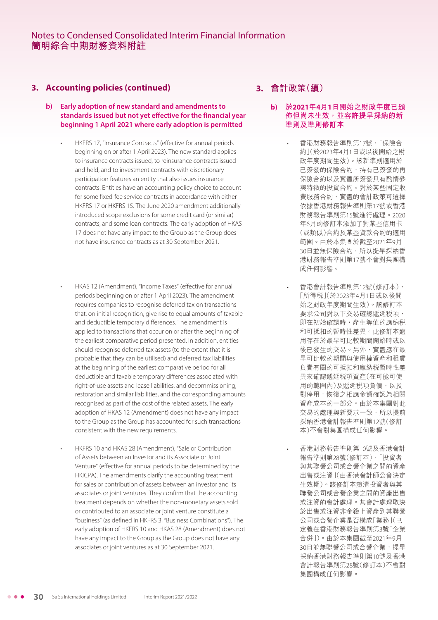## **3. Accounting policies (continued)**

- **b) Early adoption of new standard and amendments to standards issued but not yet effective for the financial year beginning 1 April 2021 where early adoption is permitted**
	- HKFRS 17, "Insurance Contracts" (effective for annual periods beginning on or after 1 April 2023). The new standard applies to insurance contracts issued, to reinsurance contracts issued and held, and to investment contracts with discretionary participation features an entity that also issues insurance contracts. Entities have an accounting policy choice to account for some fixed-fee service contracts in accordance with either HKFRS 17 or HKFRS 15. The June 2020 amendment additionally introduced scope exclusions for some credit card (or similar) contracts, and some loan contracts. The early adoption of HKAS 17 does not have any impact to the Group as the Group does not have insurance contracts as at 30 September 2021.
	- HKAS 12 (Amendment), "Income Taxes" (effective for annual periods beginning on or after 1 April 2023). The amendment requires companies to recognise deferred tax on transactions that, on initial recognition, give rise to equal amounts of taxable and deductible temporary differences. The amendment is applied to transactions that occur on or after the beginning of the earliest comparative period presented. In addition, entities should recognise deferred tax assets (to the extent that it is probable that they can be utilised) and deferred tax liabilities at the beginning of the earliest comparative period for all deductible and taxable temporary differences associated with right-of-use assets and lease liabilities, and decommissioning, restoration and similar liabilities, and the corresponding amounts recognised as part of the cost of the related assets. The early adoption of HKAS 12 (Amendment) does not have any impact to the Group as the Group has accounted for such transactions consistent with the new requirements.
	- HKFRS 10 and HKAS 28 (Amendment), "Sale or Contribution of Assets between an Investor and its Associate or Joint Venture" (effective for annual periods to be determined by the HKICPA). The amendments clarify the accounting treatment for sales or contribution of assets between an investor and its associates or joint ventures. They confirm that the accounting treatment depends on whether the non-monetary assets sold or contributed to an associate or joint venture constitute a "business" (as defined in HKFRS 3, "Business Combinations"). The early adoption of HKFRS 10 and HKAS 28 (Amendment) does not have any impact to the Group as the Group does not have any associates or joint ventures as at 30 September 2021.

# **3. 會計政策(續)**

- **b) 於2021年4月1日開始之財政年度已頒 佈但尚未生效,並容許提早採納的新 準則及準則修訂本**
	- 香港財務報告準則第17號,「保險合 約」(於2023年4月1日或以後開始之財 政年度期間生效)。該新準則適用於 已簽發的保險合約,持有已簽發的再 保險合約以及實體所簽發具有酌情參 與特徵的投資合約。對於某些固定收 費服務合約,實體的會計政策可選擇 依據香港財務報告準則第17號或香港 財務報告準則第15號進行處理。2020 年6月的修訂本添加了對某些信用卡 (或類似)合約及某些貨款合約的適用 範圍。由於本集團於截至2021年9月 30日並無保險合約,所以提早採納香 港財務報告準則第17號不會對集團構 成任何影響。
	- 香港會計報告準則第12號(修訂本), 「所得稅」(於2023年4月1日或以後開 始之財政年度期間生效)。該修訂本 要求公司對以下交易確認遞延稅項, 即在初始確認時,產生等值的應納稅 和可抵扣的暫時性差異。此修訂本適 用存在於最早可比較期間開始時或以 後已發生的交易。另外,實體應在最 早可比較的期間與使用權資產和租賃 負責有關的可抵扣和應納稅暫時性差 異來確認遞延稅項資產(在可能可使 用的範圍內)及遞延税項負債,以及 對停用,恢復之相應金額確認為相關 資產成本的一部分。由於本集團對此 交易的處理與新要求一致,所以提前 採納香港會計報告準則第12號(修訂 本)不會對集團構成任何影響。
	- 香港財務報告準則第10號及香港會計 報告準則第28號(修訂本),「投資者 與其聯營公司或合營企業之間的資產 出售或注資」(由香港會計師公會決定 生效期)。該修訂本釐清投資者與其 聯營公司或合營企業之間的資產出售 或注資的會計處理。其會計處理取決 於出售或注資非金錢上資產到其聯營 公司或合營企業是否構成「業務」(已 定義在香港財務報告準則第3號「企業 合併」)。由於本集團截至2021年9月 30日並無聯營公司或合營企業,提早 採納香港財務報告準則第10號及香港 會計報告準則第28號(修訂本)不會對 集團構成任何影響。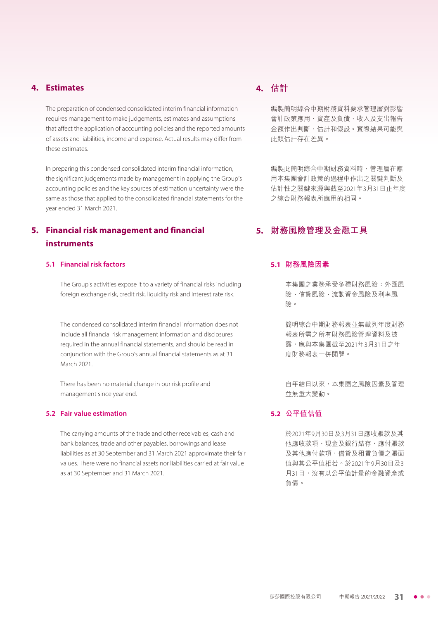#### **4. Estimates**

The preparation of condensed consolidated interim financial information requires management to make judgements, estimates and assumptions that affect the application of accounting policies and the reported amounts of assets and liabilities, income and expense. Actual results may differ from these estimates.

In preparing this condensed consolidated interim financial information, the significant judgements made by management in applying the Group's accounting policies and the key sources of estimation uncertainty were the same as those that applied to the consolidated financial statements for the year ended 31 March 2021.

# **5. Financial risk management and financial instruments**

#### **5.1 Financial risk factors**

The Group's activities expose it to a variety of financial risks including foreign exchange risk, credit risk, liquidity risk and interest rate risk.

The condensed consolidated interim financial information does not include all financial risk management information and disclosures required in the annual financial statements, and should be read in conjunction with the Group's annual financial statements as at 31 March 2021.

There has been no material change in our risk profile and management since year end.

#### **5.2 Fair value estimation**

The carrying amounts of the trade and other receivables, cash and bank balances, trade and other payables, borrowings and lease liabilities as at 30 September and 31 March 2021 approximate their fair values. There were no financial assets nor liabilities carried at fair value as at 30 September and 31 March 2021.

# **4. 估計**

編製簡明綜合中期財務資料要求管理層對影響 會計政策應用、資產及負債、收入及支出報告 金額作出判斷、估計和假設。實際結果可能與 此類估計存在差異。

編製此簡明綜合中期財務資料時,管理層在應 用本集團會計政策的過程中作出之關鍵判斷及 估計性之關鍵來源與截至2021年3月31日止年度 之綜合財務報表所應用的相同。

# **5. 財務風險管理及金融工具**

#### **5.1 財務風險因素**

本集團之業務承受多種財務風險:外匯風 險、信貸風險、流動資金風險及利率風 險。

簡明綜合中期財務報表並無載列年度財務 報表所需之所有財務風險管理資料及披 露,應與本集團截至2021年3月31日之年 度財務報表一併閱覽。

自年結日以來,本集團之風險因素及管理 並無重大變動。

#### **5.2 公平值估值**

於2021年9月30日及3月31日應收賬款及其 他應收款項、現金及銀行結存,應付賬款 及其他應付款項,借貸及租賃負債之賬面 值與其公平值相若。於2021年9月30日及3 月31日,沒有以公平值計量的金融資產或 負債。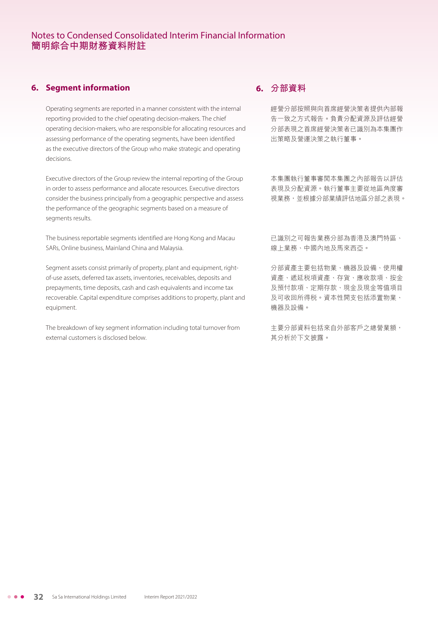## **6. Segment information**

Operating segments are reported in a manner consistent with the internal reporting provided to the chief operating decision-makers. The chief operating decision-makers, who are responsible for allocating resources and assessing performance of the operating segments, have been identified as the executive directors of the Group who make strategic and operating decisions.

Executive directors of the Group review the internal reporting of the Group in order to assess performance and allocate resources. Executive directors consider the business principally from a geographic perspective and assess the performance of the geographic segments based on a measure of segments results.

The business reportable segments identified are Hong Kong and Macau SARs, Online business, Mainland China and Malaysia.

Segment assets consist primarily of property, plant and equipment, rightof-use assets, deferred tax assets, inventories, receivables, deposits and prepayments, time deposits, cash and cash equivalents and income tax recoverable. Capital expenditure comprises additions to property, plant and equipment.

The breakdown of key segment information including total turnover from external customers is disclosed below.

# **6. 分部資料**

經營分部按照與向首席經營決策者提供內部報 告一致之方式報告。負責分配資源及評估經營 分部表現之首席經營決策者已識別為本集團作 出策略及營運決策之執行董事。

本集團執行董事審閱本集團之內部報告以評估 表現及分配資源。執行董事主要從地區角度審 視業務,並根據分部業績評估地區分部之表現。

已識別之可報告業務分部為香港及澳門特區、 線上業務、中國內地及馬來西亞。

分部資產主要包括物業、機器及設備、使用權 資產、遞延稅項資產、存貨、應收款項、按金 及預付款項、定期存款、現金及現金等值項目 及可收回所得稅。資本性開支包括添置物業、 機器及設備。

主要分部資料包括來自外部客戶之總營業額, 其分析於下文披露。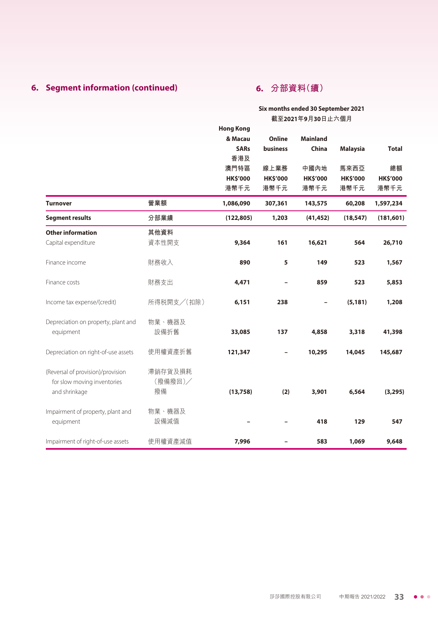# **6. Segment information (continued)**

# **6. 分部資料(續)**

#### **Six months ended 30 September 2021 截至2021年9月30日止六個月**

|                                     |            | <b>Hong Kong</b> |                 |                 |                 |                 |
|-------------------------------------|------------|------------------|-----------------|-----------------|-----------------|-----------------|
|                                     |            | & Macau          | Online          | <b>Mainland</b> |                 |                 |
|                                     |            | <b>SARs</b>      | business        | China           | <b>Malaysia</b> | <b>Total</b>    |
|                                     |            | 香港及              |                 |                 |                 |                 |
|                                     |            | 澳門特區             | 線上業務            | 中國內地            | 馬來西亞            | 總額              |
|                                     |            | <b>HK\$'000</b>  | <b>HK\$'000</b> | <b>HK\$'000</b> | <b>HK\$'000</b> | <b>HK\$'000</b> |
|                                     |            | 港幣千元             | 港幣千元            | 港幣千元            | 港幣千元            | 港幣千元            |
| <b>Turnover</b>                     | 營業額        | 1,086,090        | 307,361         | 143,575         | 60,208          | 1,597,234       |
| <b>Segment results</b>              | 分部業績       | (122, 805)       | 1,203           | (41, 452)       | (18, 547)       | (181, 601)      |
| <b>Other information</b>            | 其他資料       |                  |                 |                 |                 |                 |
| Capital expenditure                 | 資本性開支      | 9,364            | 161             | 16,621          | 564             | 26,710          |
| Finance income                      | 財務收入       | 890              | 5               | 149             | 523             | 1,567           |
|                                     |            |                  |                 |                 |                 |                 |
| Finance costs                       | 財務支出       | 4,471            |                 | 859             | 523             | 5,853           |
| Income tax expense/(credit)         | 所得税開支/(扣除) | 6,151            | 238             |                 | (5, 181)        | 1,208           |
|                                     |            |                  |                 |                 |                 |                 |
| Depreciation on property, plant and | 物業、機器及     |                  |                 |                 |                 |                 |
| equipment                           | 設備折舊       | 33,085           | 137             | 4,858           | 3,318           | 41,398          |
|                                     | 使用權資產折舊    | 121,347          |                 | 10,295          | 14,045          | 145,687         |
| Depreciation on right-of-use assets |            |                  |                 |                 |                 |                 |
| (Reversal of provision)/provision   | 滯銷存貨及損耗    |                  |                 |                 |                 |                 |
| for slow moving inventories         | (撥備撥回)/    |                  |                 |                 |                 |                 |
| and shrinkage                       | 撥備         | (13, 758)        | (2)             | 3,901           | 6,564           | (3, 295)        |
|                                     |            |                  |                 |                 |                 |                 |
| Impairment of property, plant and   | 物業、機器及     |                  |                 |                 |                 |                 |
| equipment                           | 設備減值       |                  |                 | 418             | 129             | 547             |
|                                     |            |                  |                 |                 |                 |                 |
| Impairment of right-of-use assets   | 使用權資產減值    | 7,996            |                 | 583             | 1,069           | 9,648           |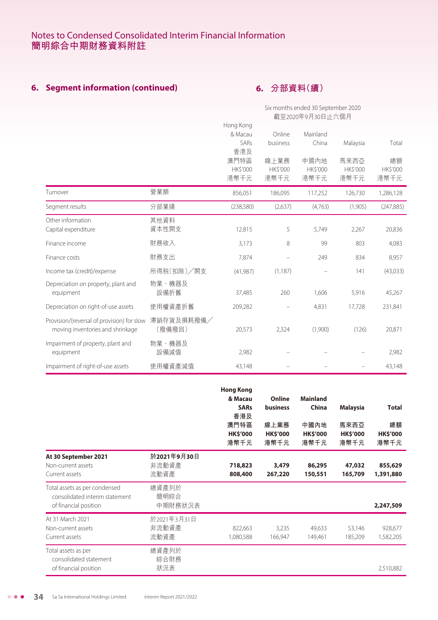# **6. Segment information (continued)**

# **6. 分部資料(續)**

|                                                                                |                      |                                 |                                 | Six months ended 30 September 2020 |                          |                               |
|--------------------------------------------------------------------------------|----------------------|---------------------------------|---------------------------------|------------------------------------|--------------------------|-------------------------------|
|                                                                                |                      | 截至2020年9月30日止六個月                |                                 |                                    |                          |                               |
|                                                                                |                      | Hong Kong<br>& Macau<br>SARs    | Online<br>business              | Mainland<br>China                  | Malaysia                 | Total                         |
|                                                                                |                      | 香港及<br>澳門特區<br>HK\$'000<br>港幣千元 | 線上業務<br><b>HK\$'000</b><br>港幣千元 | 中國內地<br><b>HK\$'000</b><br>港幣千元    | 馬來西亞<br>HK\$'000<br>港幣千元 | 總額<br><b>HK\$'000</b><br>港幣千元 |
| Turnover                                                                       | 營業額                  | 856,051                         | 186,095                         | 117,252                            | 126,730                  | 1,286,128                     |
| Segment results                                                                | 分部業績                 | (238, 580)                      | (2,637)                         | (4,763)                            | (1,905)                  | (247, 885)                    |
| Other information<br>Capital expenditure                                       | 其他資料<br>資本性開支        | 12,815                          | 5                               | 5,749                              | 2,267                    | 20,836                        |
| Finance income                                                                 | 財務收入                 | 3,173                           | 8                               | 99                                 | 803                      | 4,083                         |
| Finance costs                                                                  | 財務支出                 | 7,874                           | -                               | 249                                | 834                      | 8,957                         |
| Income tax (credit)/expense                                                    | 所得税(扣除)/開支           | (41, 987)                       | (1, 187)                        |                                    | 141                      | (43,033)                      |
| Depreciation on property, plant and<br>equipment                               | 物業、機器及<br>設備折舊       | 37,485                          | 260                             | 1,606                              | 5,916                    | 45,267                        |
| Depreciation on right-of-use assets                                            | 使用權資產折舊              | 209,282                         |                                 | 4,831                              | 17,728                   | 231,841                       |
| Provision/(reversal of provision) for slow<br>moving inventories and shrinkage | 滞銷存貨及損耗撥備/<br>(撥備撥回) | 20,573                          | 2,324                           | (1,900)                            | (126)                    | 20,871                        |
| Impairment of property, plant and<br>equipment                                 | 物業、機器及<br>設備減值       | 2,982                           |                                 |                                    |                          | 2,982                         |
| Impairment of right-of-use assets                                              | 使用權資產減值              | 43,148                          |                                 |                                    |                          | 43,148                        |

|                                                                                          |                              | <b>Hong Kong</b><br>& Macau<br><b>SARs</b><br>香港及<br>澳門特區<br><b>HK\$'000</b><br>港幣千元 | Online<br><b>business</b><br>線上業務<br><b>HK\$'000</b><br>港幣千元 | <b>Mainland</b><br><b>China</b><br>中國內地<br><b>HK\$'000</b><br>港幣千元 | <b>Malaysia</b><br>馬來西亞<br><b>HK\$'000</b><br>港幣千元 | <b>Total</b><br>總額<br><b>HK\$'000</b><br>港幣千元 |
|------------------------------------------------------------------------------------------|------------------------------|--------------------------------------------------------------------------------------|--------------------------------------------------------------|--------------------------------------------------------------------|----------------------------------------------------|-----------------------------------------------|
| At 30 September 2021<br>Non-current assets<br>Current assets                             | 於2021年9月30日<br>非流動資產<br>流動資產 | 718,823<br>808,400                                                                   | 3,479<br>267,220                                             | 86,295<br>150,551                                                  | 47,032<br>165,709                                  | 855,629<br>1,391,880                          |
| Total assets as per condensed<br>consolidated interim statement<br>of financial position | 總資產列於<br>簡明綜合<br>中期財務狀況表     |                                                                                      |                                                              |                                                                    |                                                    | 2,247,509                                     |
| At 31 March 2021<br>Non-current assets<br>Current assets                                 | 於2021年3月31日<br>非流動資產<br>流動資產 | 822,663<br>1,080,588                                                                 | 3,235<br>166,947                                             | 49,633<br>149,461                                                  | 53,146<br>185,209                                  | 928,677<br>1,582,205                          |
| Total assets as per<br>consolidated statement<br>of financial position                   | 總資產列於<br>綜合財務<br>狀況表         |                                                                                      |                                                              |                                                                    |                                                    | 2,510,882                                     |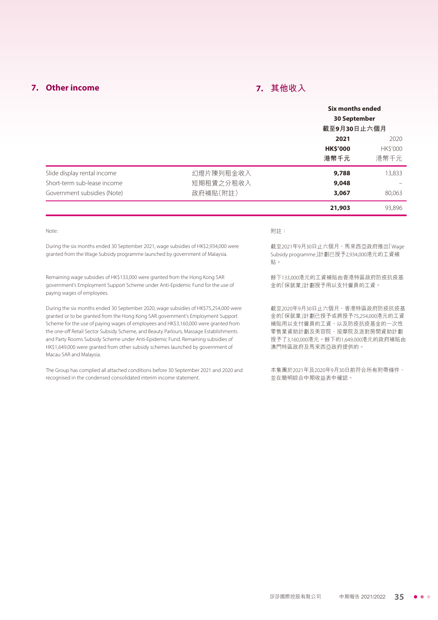# **7. Other income**

# **7. 其他收入**

|                                                                                                                                                                                                                                                                                                                                                                                                                                                                                                                                                          |                                    | <b>Six months ended</b><br><b>30 September</b>                                                                                                                                      |                                 |
|----------------------------------------------------------------------------------------------------------------------------------------------------------------------------------------------------------------------------------------------------------------------------------------------------------------------------------------------------------------------------------------------------------------------------------------------------------------------------------------------------------------------------------------------------------|------------------------------------|-------------------------------------------------------------------------------------------------------------------------------------------------------------------------------------|---------------------------------|
|                                                                                                                                                                                                                                                                                                                                                                                                                                                                                                                                                          |                                    | 截至9月30日止六個月                                                                                                                                                                         |                                 |
|                                                                                                                                                                                                                                                                                                                                                                                                                                                                                                                                                          |                                    | 2021<br><b>HK\$'000</b><br>港幣千元                                                                                                                                                     | 2020<br><b>HK\$'000</b><br>港幣千元 |
| Slide display rental income<br>Short-term sub-lease income<br>Government subsidies (Note)                                                                                                                                                                                                                                                                                                                                                                                                                                                                | 幻燈片陳列租金收入<br>短期租賃之分租收入<br>政府補貼(附註) | 9,788<br>9,048<br>3,067                                                                                                                                                             | 13,833<br>80,063                |
|                                                                                                                                                                                                                                                                                                                                                                                                                                                                                                                                                          |                                    | 21,903                                                                                                                                                                              | 93,896                          |
| Note:                                                                                                                                                                                                                                                                                                                                                                                                                                                                                                                                                    |                                    | 附註:                                                                                                                                                                                 |                                 |
| During the six months ended 30 September 2021, wage subsidies of HK\$2,934,000 were<br>granted from the Wage Subsidy programme launched by government of Malaysia.                                                                                                                                                                                                                                                                                                                                                                                       |                                    | 截至2021年9月30日止六個月,馬來西亞政府推出「Wage<br>Subsidy programme」計劃已授予2,934,000港元的工資補<br>貼。                                                                                                      |                                 |
| Remaining wage subsidies of HK\$133,000 were granted from the Hong Kong SAR<br>government's Employment Support Scheme under Anti-Epidemic Fund for the use of<br>paying wages of employees.                                                                                                                                                                                                                                                                                                                                                              |                                    | 餘下133,000港元的工資補貼由香港特區政府防疫抗疫基<br>金的「保就業」計劃授予用以支付僱員的工資。                                                                                                                               |                                 |
| During the six months ended 30 September 2020, wage subsidies of HK\$75,254,000 were<br>granted or to be granted from the Hong Kong SAR government's Employment Support<br>Scheme for the use of paying wages of employees and HK\$3,160,000 were granted from<br>the one-off Retail Sector Subsidy Scheme, and Beauty Parlours, Massage Establishments<br>and Party Rooms Subsidy Scheme under Anti-Epidemic Fund. Remaining subsidies of<br>HK\$1,649,000 were granted from other subsidy schemes launched by government of<br>Macau SAR and Malaysia. |                                    | 截至2020年9月30日止六個月,香港特區政府防疫抗疫基<br>金的「保就業」計劃已授予或將授予75,254,000港元的工資<br>補貼用以支付僱員的工資,以及防疫抗疫基金的一次性<br>零售業資助計劃及美容院、按摩院及派對房間資助計劃<br>授予了3,160,000港元。餘下的1,649,000港元的政府補貼由<br>澳門特區政府及馬來西亞政府提供的。 |                                 |
| The Group has complied all attached conditions before 30 September 2021 and 2020 and<br>recognised in the condensed consolidated interim income statement.                                                                                                                                                                                                                                                                                                                                                                                               |                                    | 本集團於2021年及2020年9月30日前符合所有附帶條件,<br>並在簡明綜合中期收益表中確認。                                                                                                                                   |                                 |

莎莎國際控股有限公司 中期報告 2021/2022 **35**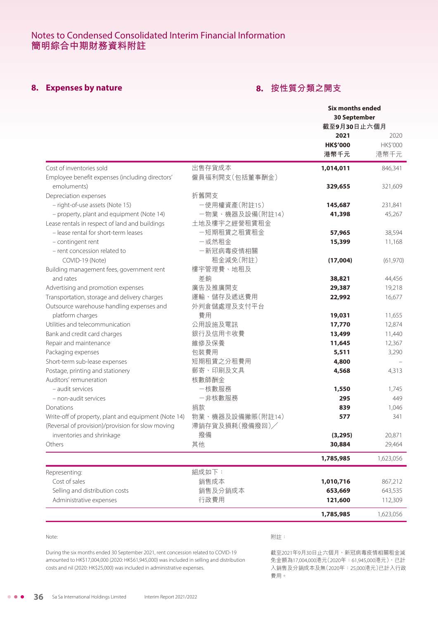# **8. Expenses by nature**

# **8. 按性質分類之開支**

|                                                                |                          | <b>Six months ended</b><br><b>30 September</b><br>截至9月30日止六個月 |                          |
|----------------------------------------------------------------|--------------------------|---------------------------------------------------------------|--------------------------|
|                                                                |                          | 2021<br><b>HK\$'000</b><br>港幣千元                               | 2020<br>HK\$'000<br>港幣千元 |
| Cost of inventories sold                                       | 出售存貨成本<br>僱員福利開支(包括董事酬金) | 1,014,011                                                     | 846,341                  |
| Employee benefit expenses (including directors'<br>emoluments) |                          | 329,655                                                       | 321,609                  |
| Depreciation expenses                                          | 折舊開支                     |                                                               |                          |
| - right-of-use assets (Note 15)                                | 一使用權資產(附註15)             | 145,687                                                       | 231,841                  |
| - property, plant and equipment (Note 14)                      | 一物業、機器及設備(附註14)          | 41,398                                                        | 45,267                   |
| Lease rentals in respect of land and buildings                 | 土地及樓宇之經營租賃租金             |                                                               |                          |
| - lease rental for short-term leases                           | 一短期租賃之租賃租金               | 57,965                                                        | 38,594                   |
| - contingent rent                                              | 一或然租金                    | 15,399                                                        | 11,168                   |
| - rent concession related to                                   | 一新冠病毒疫情相關                |                                                               |                          |
| COVID-19 (Note)                                                | 租金減免(附註)                 | (17,004)                                                      | (61,970)                 |
| Building management fees, government rent                      | 樓宇管理費、地租及                |                                                               |                          |
| and rates                                                      | 差餉                       | 38,821                                                        | 44,456                   |
| Advertising and promotion expenses                             | 廣告及推廣開支                  | 29,387                                                        | 19,218                   |
| Transportation, storage and delivery charges                   | 運輸、儲存及遞送費用               | 22,992                                                        | 16,677                   |
| Outsource warehouse handling expenses and                      | 外判倉儲處理及支付平台              |                                                               |                          |
| platform charges                                               | 費用                       | 19,031                                                        | 11,655                   |
| Utilities and telecommunication                                | 公用設施及電訊                  | 17,770                                                        | 12,874                   |
| Bank and credit card charges                                   | 銀行及信用卡收費                 | 13,499                                                        | 11,440                   |
| Repair and maintenance                                         | 維修及保養                    | 11,645                                                        | 12,367                   |
| Packaging expenses                                             | 包裝費用<br>短期租賃之分租費用        | 5,511                                                         | 3,290                    |
| Short-term sub-lease expenses                                  | 郵寄、印刷及文具                 | 4,800                                                         |                          |
| Postage, printing and stationery<br>Auditors' remuneration     | 核數師酬金                    | 4,568                                                         | 4,313                    |
| - audit services                                               | 一核數服務                    | 1,550                                                         | 1,745                    |
| - non-audit services                                           | 一非核數服務                   | 295                                                           | 449                      |
| Donations                                                      | 捐款                       | 839                                                           | 1,046                    |
| Write-off of property, plant and equipment (Note 14)           | 物業、機器及設備撇賬(附註14)         | 577                                                           | 341                      |
| (Reversal of provision)/provision for slow moving              | 滞銷存貨及損耗(撥備撥回)/           |                                                               |                          |
| inventories and shrinkage                                      | 撥備                       | (3, 295)                                                      | 20,871                   |
| Others                                                         | 其他                       | 30,884                                                        | 29,464                   |
|                                                                |                          | 1,785,985                                                     | 1,623,056                |
| Representing:                                                  | 組成如下:                    |                                                               |                          |
| Cost of sales                                                  | 銷售成本                     | 1,010,716                                                     | 867,212                  |
| Selling and distribution costs                                 | 銷售及分銷成本                  | 653,669                                                       | 643,535                  |
| Administrative expenses                                        | 行政費用                     | 121,600                                                       | 112,309                  |
|                                                                |                          |                                                               |                          |
|                                                                |                          | 1,785,985                                                     | 1,623,056                |

Note:

#### 附註:

During the six months ended 30 September 2021, rent concession related to COVID-19 amounted to HK\$17,004,000 (2020: HK\$61,945,000) was included in selling and distribution costs and nil (2020: HK\$25,000) was included in administrative expenses.

截至2021年9月30日止六個月,新冠病毒疫情相關租金減 免金額為17,004,000港元(2020年:61,945,000港元),已計 入銷售及分銷成本及無(2020年:25,000港元)已計入行政 費用。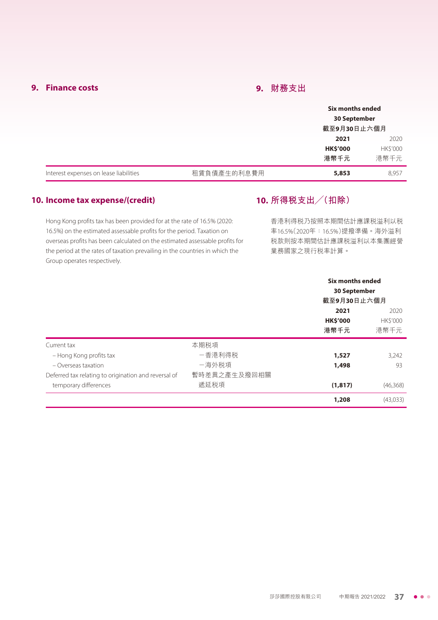## **9. Finance costs**

## **9. 財務支出**

|                                        |             | Six months ended<br><b>30 September</b> |          |
|----------------------------------------|-------------|-----------------------------------------|----------|
|                                        |             | 截至9月30日止六個月                             |          |
|                                        |             | 2021                                    | 2020     |
|                                        |             | <b>HK\$'000</b>                         | HK\$'000 |
|                                        |             | 港幣千元                                    | 港幣千元     |
| Interest expenses on lease liabilities | 租賃負債產生的利息費用 | 5,853                                   | 8,957    |

#### **10. Income tax expense/(credit)**

# **10. 所得稅支出╱(扣除)**

Hong Kong profits tax has been provided for at the rate of 16.5% (2020: 16.5%) on the estimated assessable profits for the period. Taxation on overseas profits has been calculated on the estimated assessable profits for the period at the rates of taxation prevailing in the countries in which the Group operates respectively.

香港利得稅乃按照本期間估計應課稅溢利以稅 率16.5%(2020年:16.5%)提撥準備。海外溢利 稅款則按本期間估計應課稅溢利以本集團經營 業務國家之現行稅率計算。

|                                                                                                                         |                                         | Six months ended<br><b>30 September</b><br>截至9月30日止六個月 |                          |
|-------------------------------------------------------------------------------------------------------------------------|-----------------------------------------|--------------------------------------------------------|--------------------------|
|                                                                                                                         |                                         | 2021<br><b>HK\$'000</b><br>港幣千元                        | 2020<br>HK\$'000<br>港幣千元 |
| Current tax<br>- Hong Kong profits tax<br>$-$ Overseas taxation<br>Deferred tax relating to origination and reversal of | 本期税項<br>-香港利得税<br>-海外税項<br>暫時差異之產生及撥回相關 | 1,527<br>1,498                                         | 3,242<br>93              |
| temporary differences                                                                                                   | 遞延税項                                    | (1, 817)                                               | (46,368)                 |
|                                                                                                                         |                                         | 1,208                                                  | (43,033)                 |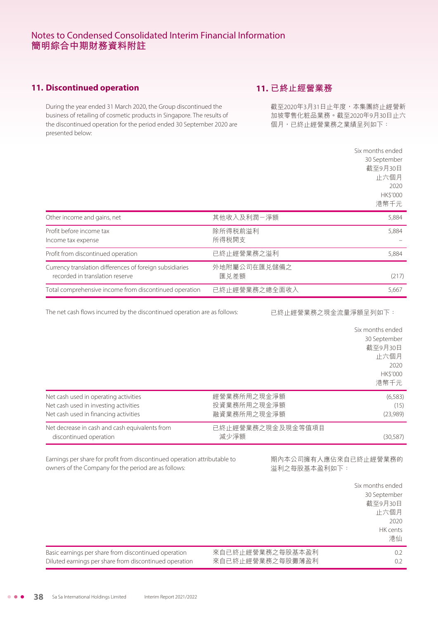## **11. Discontinued operation**

During the year ended 31 March 2020, the Group discontinued the business of retailing of cosmetic products in Singapore. The results of the discontinued operation for the period ended 30 September 2020 are presented below:

# **11. 已終止經營業務**

截至2020年3月31日止年度,本集團終止經營新 加坡零售化粧品業務。截至2020年9月30日止六 個月,已終止經營業務之業績呈列如下:

|                                                                                             |                      | Six months ended<br>30 September<br>截至9月30日<br>止六個月<br>2020<br><b>HK\$'000</b> |
|---------------------------------------------------------------------------------------------|----------------------|--------------------------------------------------------------------------------|
|                                                                                             |                      | 港幣千元                                                                           |
| Other income and gains, net                                                                 | 其他收入及利潤一淨額           | 5,884                                                                          |
| Profit before income tax<br>Income tax expense                                              | 除所得税前溢利<br>所得税開支     | 5,884                                                                          |
| Profit from discontinued operation                                                          | 已終止經營業務之溢利           | 5,884                                                                          |
| Currency translation differences of foreign subsidiaries<br>recorded in translation reserve | 外地附屬公司在匯兑儲備之<br>匯兑差額 | (217)                                                                          |
| Total comprehensive income from discontinued operation                                      | 已終止經營業務之總全面收入        | 5,667                                                                          |

The net cash flows incurred by the discontinued operation are as follows:

已終止經營業務之現金流量淨額呈列如下:

|                                                |                   | Six months ended |
|------------------------------------------------|-------------------|------------------|
|                                                |                   | 30 September     |
|                                                |                   | 截至9月30日          |
|                                                |                   | 止六個月             |
|                                                |                   | 2020             |
|                                                |                   | <b>HKS'000</b>   |
|                                                |                   | 港幣千元             |
| Net cash used in operating activities          | 經營業務所用之現金淨額       | (6,583)          |
| Net cash used in investing activities          | 投資業務所用之現金淨額       | (15)             |
| Net cash used in financing activities          | 融資業務所用之現金淨額       | (23,989)         |
| Net decrease in cash and cash equivalents from | 已終止經營業務之現金及現金等值項目 |                  |
| discontinued operation                         | 減少淨額              | (30,587)         |
|                                                |                   |                  |

Earnings per share for profit from discontinued operation attributable to owners of the Company for the period are as follows:

期內本公司擁有人應佔來自已終止經營業務的 溢利之每股基本盈利如下:

|                                                        |                  | Six months ended<br>30 September<br>截至9月30日<br>止六個月<br>2020<br>HK cents<br>港仙 |
|--------------------------------------------------------|------------------|-------------------------------------------------------------------------------|
| Basic earnings per share from discontinued operation   | 來自已終止經營業務之每股基本盈利 | 0.2                                                                           |
| Diluted earnings per share from discontinued operation | 來自已終止經營業務之每股攤薄盈利 | 0.2                                                                           |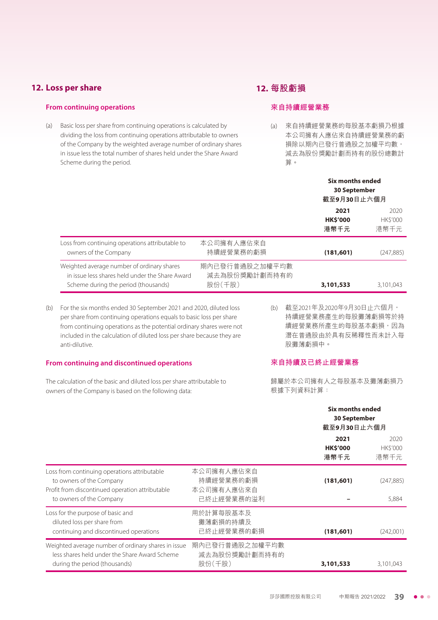## **12. Loss per share**

#### **From continuing operations**

(a) Basic loss per share from continuing operations is calculated by dividing the loss from continuing operations attributable to owners of the Company by the weighted average number of ordinary shares in issue less the total number of shares held under the Share Award Scheme during the period.

# **12. 每股虧損**

#### **來自持續經營業務**

(a) 來自持續經營業務的每股基本虧損乃根據 本公司擁有人應佔來自持續經營業務的虧 損除以期內已發行普通股之加權平均數, 減去為股份獎勵計劃而持有的股份總數計 算。

|                                                                                                                                       |                                           | <b>Six months ended</b><br><b>30 September</b><br>截至9月30日止六個月 |                                |
|---------------------------------------------------------------------------------------------------------------------------------------|-------------------------------------------|---------------------------------------------------------------|--------------------------------|
|                                                                                                                                       |                                           | 2021<br><b>HKS'000</b><br>港幣千元                                | 2020<br><b>HKS'000</b><br>港幣千元 |
| Loss from continuing operations attributable to<br>owners of the Company                                                              | 本公司擁有人應佔來自<br>持續經營業務的虧損                   | (181, 601)                                                    | (247,885)                      |
| Weighted average number of ordinary shares<br>in issue less shares held under the Share Award<br>Scheme during the period (thousands) | 期內已發行普通股之加權平均數<br>減去為股份獎勵計劃而持有的<br>股份(千股) | 3,101,533                                                     | 3.101.043                      |

(b) For the six months ended 30 September 2021 and 2020, diluted loss per share from continuing operations equals to basic loss per share from continuing operations as the potential ordinary shares were not included in the calculation of diluted loss per share because they are anti-dilutive.

#### **From continuing and discontinued operations**

The calculation of the basic and diluted loss per share attributable to owners of the Company is based on the following data:

(b) 截至2021年及2020年9月30日止六個月, 持續經營業務產生的每股攤薄虧損等於持 續經營業務所產生的每股基本虧損,因為 潛在普通股由於具有反稀釋性而未計入每 股攤薄虧損中。

#### **來自持續及已終止經營業務**

歸屬於本公司擁有人之每股基本及攤薄虧損乃 根據下列資料計算:

|                                                                                                                                                         |                                                     | Six months ended<br><b>30 September</b><br>截至9月30日止六個月 |                                |
|---------------------------------------------------------------------------------------------------------------------------------------------------------|-----------------------------------------------------|--------------------------------------------------------|--------------------------------|
|                                                                                                                                                         |                                                     | 2021<br><b>HK\$'000</b><br>港幣千元                        | 2020<br><b>HKS'000</b><br>港幣千元 |
| Loss from continuing operations attributable<br>to owners of the Company<br>Profit from discontinued operation attributable<br>to owners of the Company | 本公司擁有人應佔來自<br>持續經營業務的虧損<br>本公司擁有人應佔來自<br>已終止經營業務的溢利 | (181, 601)                                             | (247, 885)<br>5,884            |
| Loss for the purpose of basic and<br>diluted loss per share from<br>continuing and discontinued operations                                              | 用於計算每股基本及<br>攤薄虧損的持續及<br>已終止經營業務的虧損                 | (181, 601)                                             | (242,001)                      |
| Weighted average number of ordinary shares in issue<br>less shares held under the Share Award Scheme<br>during the period (thousands)                   | 期內已發行普通股之加權平均數<br>減去為股份獎勵計劃而持有的<br>股份(千股)           | 3,101,533                                              | 3,101,043                      |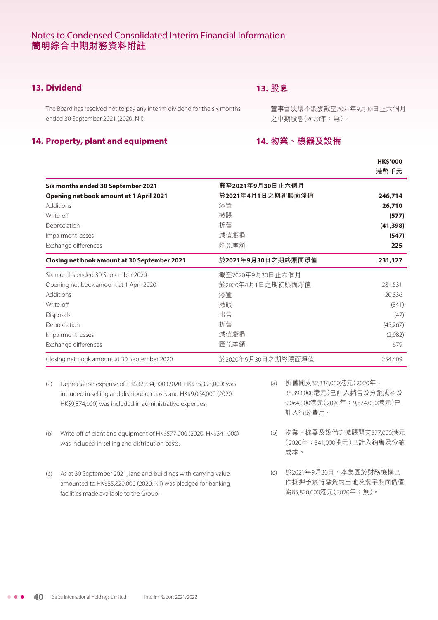# **13. Dividend**

# **13. 股息**

The Board has resolved not to pay any interim dividend for the six months ended 30 September 2021 (2020: Nil).

#### **14. Property, plant and equipment**

董事會決議不派發截至2021年9月30日止六個月 之中期股息(2020年:無)。

## **14. 物業、機器及設備**

|                                                |                    | <b>HK\$'000</b><br>港幣千元 |
|------------------------------------------------|--------------------|-------------------------|
| Six months ended 30 September 2021             | 截至2021年9月30日止六個月   |                         |
| <b>Opening net book amount at 1 April 2021</b> | 於2021年4月1日之期初賬面淨值  | 246,714                 |
| Additions                                      | 添置                 | 26,710                  |
| Write-off                                      | 撇賬                 | (577)                   |
| Depreciation                                   | 折舊                 | (41, 398)               |
| Impairment losses                              | 減值虧損               | (547)                   |
| Exchange differences                           | 匯兑差額               | 225                     |
| Closing net book amount at 30 September 2021   | 於2021年9月30日之期終賬面淨值 | 231,127                 |
| Six months ended 30 September 2020             | 截至2020年9月30日止六個月   |                         |
| Opening net book amount at 1 April 2020        | 於2020年4月1日之期初賬面淨值  | 281,531                 |
| Additions                                      | 添置                 | 20,836                  |
| Write-off                                      | 撇賬                 | (341)                   |
| <b>Disposals</b>                               | 出售                 | (47)                    |
| Depreciation                                   | 折舊                 | (45,267)                |
| Impairment losses                              | 減值虧損               | (2,982)                 |
| Exchange differences                           | 匯兑差額               | 679                     |
| Closing net book amount at 30 September 2020   | 於2020年9月30日之期終賬面淨值 | 254,409                 |

- (a) Depreciation expense of HK\$32,334,000 (2020: HK\$35,393,000) was included in selling and distribution costs and HK\$9,064,000 (2020: HK\$9,874,000) was included in administrative expenses.
- (b) Write-off of plant and equipment of HK\$577,000 (2020: HK\$341,000) was included in selling and distribution costs.
- (c) As at 30 September 2021, land and buildings with carrying value amounted to HK\$85,820,000 (2020: Nil) was pledged for banking facilities made available to the Group.
- (a) 折舊開支32,334,000港元(2020年: 35,393,000港元)已計入銷售及分銷成本及 9,064,000港元(2020年:9,874,000港元)已 計入行政費用。
- (b) 物業、機器及設備之撇賬開支577,000港元 (2020年:341,000港元)已計入銷售及分銷 成本。
- (c) 於2021年9月30日,本集團於財務機構已 作抵押予銀行融資的土地及樓宇賬面價值 為85,820,000港元(2020年:無)。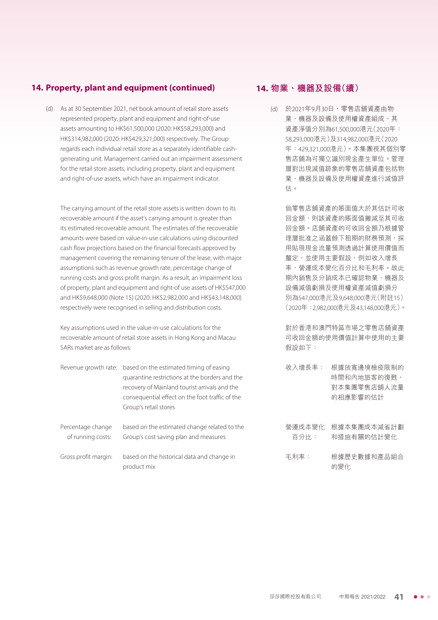## **14. Property, plant and equipment (continued)**

(d) As at 30 September 2021, net book amount of retail store assets represented property, plant and equipment and right-of-use assets amounting to HK\$61,500,000 (2020: HK\$58,293,000) and HK\$314,982,000 (2020: HK\$429,321,000) respectively. The Group regards each individual retail store as a separately identifiable cashgenerating unit. Management carried out an impairment assessment for the retail store assets, including property, plant and equipment and right-of-use assets, which have an impairment indicator.

The carrying amount of the retail store assets is written down to its recoverable amount if the asset's carrying amount is greater than its estimated recoverable amount. The estimates of the recoverable amounts were based on value-in-use calculations using discounted cash flow projections based on the financial forecasts approved by management covering the remaining tenure of the lease, with major assumptions such as revenue growth rate, percentage change of running costs and gross profit margin. As a result, an impairment loss of property, plant and equipment and right-of use assets of HK\$547,000 and HK\$9,648,000 (Note 15) (2020: HK\$2,982,000 and HK\$43,148,000) respectively were recognised in selling and distribution costs.

Key assumptions used in the value-in-use calculations for the recoverable amount of retail store assets in Hong Kong and Macau SARs market are as follows:

|                      | Revenue growth rate: based on the estimated timing of easing |
|----------------------|--------------------------------------------------------------|
|                      | quarantine restrictions at the borders and the               |
|                      | recovery of Mainland tourist arrivals and the                |
|                      | consequential effect on the foot traffic of the              |
|                      | Group's retail stores                                        |
|                      |                                                              |
| Percentage change    | based on the estimated change related to the                 |
| of running costs:    | Group's cost saving plan and measures                        |
|                      |                                                              |
| Gross profit margin: | based on the historical data and change in                   |

product mix

## **14. 物業、機器及設備(續)**

(d) 於2021年9月30日,零售店舖資產由物 業、機器及設備及使用權資產組成,其 資產淨值分別為61,500,000港元(2020年: 58,293,000港元)及314,982,000港元(2020 年:429,321,000港元)。本集團視其個別零 售店舖為可獨立識別現金產生單位。管理 層對出現減值跡象的零售店舖資產包括物 業、機器及設備及使用權資產進行減值評 估。

> 倘零售店舖資產的賬面值大於其估計可收 回金額,則該資產的賬面值撇減至其可收 回金額。店舖資產的可收回金額乃根據管 理層批准之涵蓋餘下租期的財務預測,採 用貼現現金流量預測透過計算使用價值而 釐定,並使用主要假設,例如收入增長 率,營運成本變化百分比和毛利率。故此 期內銷售及分銷成本已確認物業、機器及 設備減值虧損及使用權資產減值虧損分 別為547,000港元及9,648,000港元(附註15) (2020年:2,982,000港元及43,148,000港元)。

> 對於香港和澳門特區市場之零售店舖資產 可收回金額的使用價值計算中使用的主要 假設如下:

- 收入增長率: 根據放寬邊境檢疫限制的 時間和內地旅客的復甦, 對本集團零售店舖人流量 的相應影響的估計
- 營運成本變化 根據本集團成本減省計劃 百分比: 和措施有關的估計變化
- 毛利率: 根據歷史數據和產品組合 的變化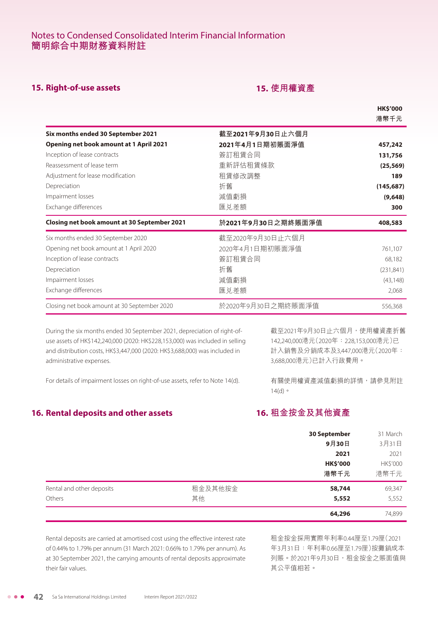# **15. Right-of-use assets 15. 使用權資產**

|                                                     |                    | <b>HK\$'000</b><br>港幣千元 |
|-----------------------------------------------------|--------------------|-------------------------|
| Six months ended 30 September 2021                  | 截至2021年9月30日止六個月   |                         |
| <b>Opening net book amount at 1 April 2021</b>      | 2021年4月1日期初賬面淨值    | 457,242                 |
| Inception of lease contracts                        | 簽訂租賃合同             | 131,756                 |
| Reassessment of lease term                          | 重新評估租賃條款           | (25, 569)               |
| Adjustment for lease modification                   | 租賃修改調整             | 189                     |
| Depreciation                                        | 折舊                 | (145, 687)              |
| Impairment losses                                   | 減值虧損               | (9,648)                 |
| Exchange differences                                | 匯兑差額               | 300                     |
| <b>Closing net book amount at 30 September 2021</b> | 於2021年9月30日之期終賬面淨值 | 408,583                 |
| Six months ended 30 September 2020                  | 截至2020年9月30日止六個月   |                         |
| Opening net book amount at 1 April 2020             | 2020年4月1日期初賬面淨值    | 761,107                 |
| Inception of lease contracts                        | 簽訂租賃合同             | 68,182                  |
| Depreciation                                        | 折舊                 | (231, 841)              |
| Impairment losses                                   | 減值虧損               | (43, 148)               |
| Exchange differences                                | 匯兑差額               | 2,068                   |
| Closing net book amount at 30 September 2020        | 於2020年9月30日之期終賬面淨值 | 556,368                 |

During the six months ended 30 September 2021, depreciation of right-ofuse assets of HK\$142,240,000 (2020: HK\$228,153,000) was included in selling and distribution costs, HK\$3,447,000 (2020: HK\$3,688,000) was included in administrative expenses.

截至2021年9月30日止六個月,使用權資產折舊 142,240,000港元(2020年:228,153,000港元)已 計入銷售及分銷成本及3,447,000港元(2020年: 3,688,000港元)已計入行政費用。

For details of impairment losses on right-of-use assets, refer to Note 14(d).

有關使用權資產減值虧損的詳情,請參見附註 14(d)。

# **16. Rental deposits and other assets**

# **16. 租金按金及其他資產**

|                           |         | <b>30 September</b> | 31 March |
|---------------------------|---------|---------------------|----------|
|                           |         | 9月30日               | 3月31日    |
|                           |         | 2021                | 2021     |
|                           |         | <b>HK\$'000</b>     | HK\$'000 |
|                           |         | 港幣千元                | 港幣千元     |
| Rental and other deposits | 租金及其他按金 | 58,744              | 69,347   |
| Others                    | 其他      | 5,552               | 5,552    |
|                           |         | 64,296              | 74,899   |

Rental deposits are carried at amortised cost using the effective interest rate of 0.44% to 1.79% per annum (31 March 2021: 0.66% to 1.79% per annum). As at 30 September 2021, the carrying amounts of rental deposits approximate their fair values.

租金按金採用實際年利率0.44厘至1.79厘(2021 年3月31日:年利率0.66厘至1.79厘)按攤銷成本 列賬。於2021年9月30日,租金按金之賬面值與 其公平值相若。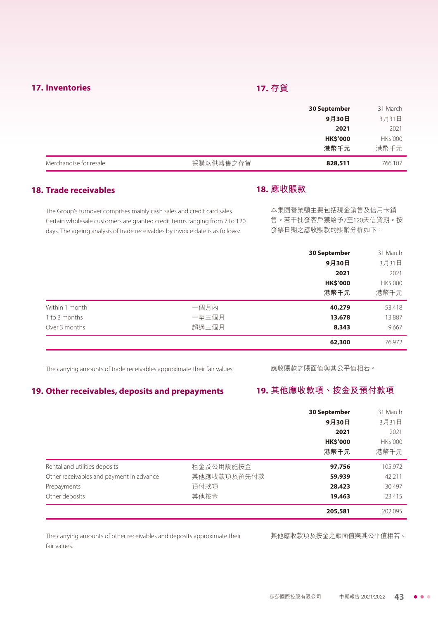## **17. Inventories 17. 存貨**

|                        |           | <b>30 September</b> | 31 March |
|------------------------|-----------|---------------------|----------|
|                        |           | 9月30日               | 3月31日    |
|                        |           | 2021                | 2021     |
|                        |           | <b>HK\$'000</b>     | HK\$'000 |
|                        |           | 港幣千元                | 港幣千元     |
| Merchandise for resale | 採購以供轉售之存貨 | 828,511             | 766,107  |

# **18. Trade receivables**

#### **18. 應收賬款**

The Group's turnover comprises mainly cash sales and credit card sales. Certain wholesale customers are granted credit terms ranging from 7 to 120 days. The ageing analysis of trade receivables by invoice date is as follows:

本集團營業額主要包括現金銷售及信用卡銷 售。若干批發客戶獲給予7至120天信貸期。按 發票日期之應收賬款的賬齡分析如下:

|                |       | 30 September    | 31 March |
|----------------|-------|-----------------|----------|
|                |       | 9月30日           | 3月31日    |
|                |       | 2021            | 2021     |
|                |       | <b>HK\$'000</b> | HK\$'000 |
|                |       | 港幣千元            | 港幣千元     |
| Within 1 month | 一個月內  | 40,279          | 53,418   |
| 1 to 3 months  | 一至三個月 | 13,678          | 13,887   |
| Over 3 months  | 超過三個月 | 8,343           | 9,667    |
|                |       | 62,300          | 76,972   |

The carrying amounts of trade receivables approximate their fair values.

應收賬款之賬面值與其公平值相若。

# **19. Other receivables, deposits and prepayments**

# **19. 其他應收款項、按金及預付款項**

|                                          |             | <b>30 September</b> | 31 March |
|------------------------------------------|-------------|---------------------|----------|
|                                          |             | 9月30日               | 3月31日    |
|                                          |             | 2021                | 2021     |
|                                          |             | <b>HK\$'000</b>     | HK\$'000 |
|                                          |             | 港幣千元                | 港幣千元     |
| Rental and utilities deposits            | 租金及公用設施按金   | 97,756              | 105,972  |
| Other receivables and payment in advance | 其他應收款項及預先付款 | 59,939              | 42,211   |
| Prepayments                              | 預付款項        | 28,423              | 30,497   |
| Other deposits                           | 其他按金        | 19,463              | 23,415   |
|                                          |             | 205,581             | 202,095  |

The carrying amounts of other receivables and deposits approximate their fair values.

其他應收款項及按金之賬面值與其公平值相若。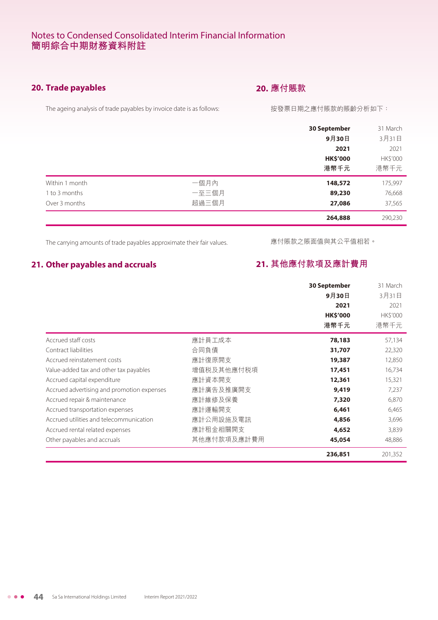# **20. Trade payables**

# **20. 應付賬款**

The ageing analysis of trade payables by invoice date is as follows:

#### 按發票日期之應付賬款的賬齡分析如下:

|                |       | <b>30 September</b> | 31 March |
|----------------|-------|---------------------|----------|
|                |       | 9月30日               | 3月31日    |
|                |       | 2021                | 2021     |
|                |       | <b>HK\$'000</b>     | HK\$'000 |
|                |       | 港幣千元                | 港幣千元     |
| Within 1 month | 一個月內  | 148,572             | 175,997  |
| 1 to 3 months  | 一至三個月 | 89,230              | 76,668   |
| Over 3 months  | 超過三個月 | 27,086              | 37,565   |
|                |       | 264,888             | 290,230  |

The carrying amounts of trade payables approximate their fair values.

應付賬款之賬面值與其公平值相若。

# **21. Other payables and accruals**

# **21. 其他應付款項及應計費用**

|                                            |             | <b>30 September</b><br>9月30日<br>2021<br><b>HK\$'000</b><br>港幣千元 | 31 March<br>3月31日<br>2021<br>HK\$'000<br>港幣千元 |
|--------------------------------------------|-------------|-----------------------------------------------------------------|-----------------------------------------------|
| Accrued staff costs                        | 應計員工成本      | 78,183                                                          | 57,134                                        |
| Contract liabilities                       | 合同負債        | 31,707                                                          | 22,320                                        |
| Accrued reinstatement costs                | 應計復原開支      | 19,387                                                          | 12,850                                        |
| Value-added tax and other tax payables     | 增值税及其他應付税項  | 17,451                                                          | 16,734                                        |
| Accrued capital expenditure                | 應計資本開支      | 12,361                                                          | 15,321                                        |
| Accrued advertising and promotion expenses | 應計廣告及推廣開支   | 9,419                                                           | 7,237                                         |
| Accrued repair & maintenance               | 應計維修及保養     | 7,320                                                           | 6,870                                         |
| Accrued transportation expenses            | 應計運輸開支      | 6,461                                                           | 6,465                                         |
| Accrued utilities and telecommunication    | 應計公用設施及電訊   | 4,856                                                           | 3,696                                         |
| Accrued rental related expenses            | 應計租金相關開支    | 4,652                                                           | 3,839                                         |
| Other payables and accruals                | 其他應付款項及應計費用 | 45,054                                                          | 48,886                                        |
|                                            |             | 236,851                                                         | 201,352                                       |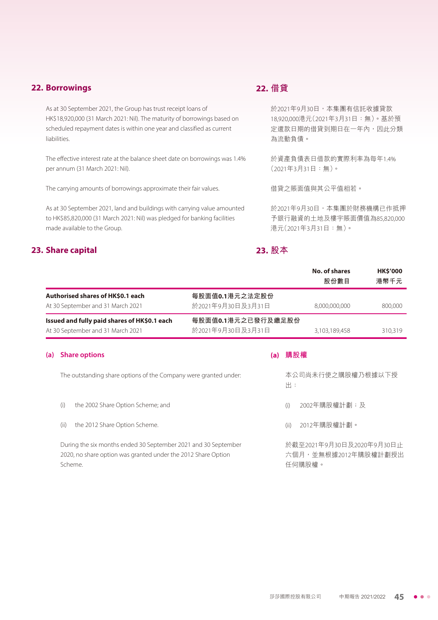## **22. Borrowings**

As at 30 September 2021, the Group has trust receipt loans of HK\$18,920,000 (31 March 2021: Nil). The maturity of borrowings based on scheduled repayment dates is within one year and classified as current liabilities.

The effective interest rate at the balance sheet date on borrowings was 1.4% per annum (31 March 2021: Nil).

The carrying amounts of borrowings approximate their fair values.

As at 30 September 2021, land and buildings with carrying value amounted to HK\$85,820,000 (31 March 2021: Nil) was pledged for banking facilities made available to the Group.

## **23. Share capital**

# **22. 借貸**

於2021年9月30日,本集團有信託收據貸款 18,920,000港元(2021年3月31日:無)。基於預 定還款日期的借貸到期日在一年內,因此分類 為流動負債。

於資產負債表日借款的實際利率為每年1.4% (2021年3月31日:無)。

借貸之賬面值與其公平值相若。

於2021年9月30日,本集團於財務機構已作抵押 予銀行融資的土地及樓宇賬面價值為85,820,000 港元(2021年3月31日:無)。

# **23. 股本**

|     |                                                                                                                                            |                                         | No. of shares<br><b>HK\$'000</b><br>股份數目<br>港幣千元            |
|-----|--------------------------------------------------------------------------------------------------------------------------------------------|-----------------------------------------|-------------------------------------------------------------|
|     | <b>Authorised shares of HKS0.1 each</b><br>At 30 September and 31 March 2021                                                               | 每股面值0.1港元之法定股份<br>於2021年9月30日及3月31日     | 8,000,000,000<br>800,000                                    |
|     | Issued and fully paid shares of HK\$0.1 each<br>At 30 September and 31 March 2021                                                          | 每股面值0.1港元之已發行及繳足股份<br>於2021年9月30日及3月31日 | 3,103,189,458<br>310,319                                    |
| (a) | <b>Share options</b>                                                                                                                       | (a)                                     | 購股權                                                         |
|     | The outstanding share options of the Company were granted under:                                                                           |                                         | 本公司尚未行使之購股權乃根據以下授<br>出:                                     |
|     | (i)<br>the 2002 Share Option Scheme; and                                                                                                   |                                         | 2002年購股權計劃;及<br>(i)                                         |
|     | the 2012 Share Option Scheme.<br>(ii)                                                                                                      |                                         | 2012年購股權計劃。<br>(i)                                          |
|     | During the six months ended 30 September 2021 and 30 September<br>2020, no share option was granted under the 2012 Share Option<br>Scheme. |                                         | 於截至2021年9月30日及2020年9月30日止<br>六個月,並無根據2012年購股權計劃授出<br>仟何贐股權。 |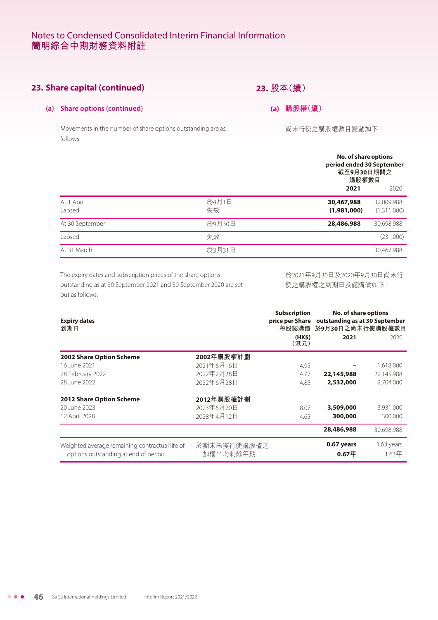# **23. Share capital (continued)**

# **23. 股本(續)**

#### **(a) Share options (continued)**

Movements in the number of share options outstanding are as follows:

**(a) 購股權(續)**

尚未行使之購股權數目變動如下:

|                      |             | No. of share options<br>period ended 30 September<br>截至9月30日期間之<br>購股權數目 |
|----------------------|-------------|--------------------------------------------------------------------------|
|                      |             | 2021<br>2020                                                             |
| At 1 April<br>Lapsed | 於4月1日<br>失效 | 30,467,988<br>32,009,988<br>(1,311,000)<br>(1,981,000)                   |
| At 30 September      | 於9月30日      | 28,486,988<br>30,698,988                                                 |
| Lapsed               | 失效          | (231,000)                                                                |
| At 31 March          | 於3月31日      | 30,467,988                                                               |

The expiry dates and subscription prices of the share options outstanding as at 30 September 2021 and 30 September 2020 are set out as follows:

於2021年9月30日及2020年9月30日尚未行 使之購股權之到期日及認購價如下:

| <b>Expiry dates</b><br>到期日                     |             | <b>Subscription</b><br>(HK\$) | <b>No. of share options</b><br>price per Share outstanding as at 30 September<br>每股認購價 於9月30日之尚未行使購股權數目<br>2021 | 2020       |
|------------------------------------------------|-------------|-------------------------------|-----------------------------------------------------------------------------------------------------------------|------------|
|                                                |             | (港元)                          |                                                                                                                 |            |
| 2002 Share Option Scheme                       | 2002年購股權計劃  |                               |                                                                                                                 |            |
| 16 June 2021                                   | 2021年6月16日  | 4.95                          |                                                                                                                 | 1,618,000  |
| 28 February 2022                               | 2022年2月28日  | 4.77                          | 22,145,988                                                                                                      | 22,145,988 |
| 28 June 2022                                   | 2022年6月28日  | 4.85                          | 2,532,000                                                                                                       | 2,704,000  |
| <b>2012 Share Option Scheme</b>                | 2012年購股權計劃  |                               |                                                                                                                 |            |
| 20 June 2023                                   | 2023年6月20日  | 8.07                          | 3,509,000                                                                                                       | 3,931,000  |
| 12 April 2028                                  | 2028年4月12日  | 4.65                          | 300,000                                                                                                         | 300,000    |
|                                                |             |                               | 28,486,988                                                                                                      | 30,698,988 |
| Weighted average remaining contractual life of | 於期末未獲行使購股權之 |                               | 0.67 years                                                                                                      | 1.63 years |
| options outstanding at end of period           | 加權平均剩餘年期    |                               | $0.67$ 年                                                                                                        | $1.63$ 年   |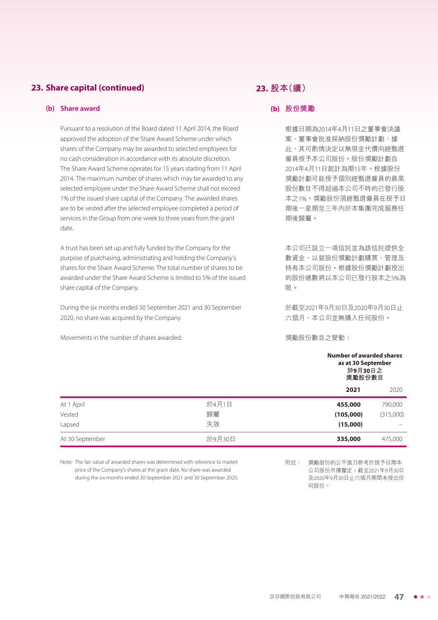# **23. Share capital (continued)**

#### **(b) Share award**

Pursuant to a resolution of the Board dated 11 April 2014, the Board approved the adoption of the Share Award Scheme under which shares of the Company may be awarded to selected employees for no cash consideration in accordance with its absolute discretion. The Share Award Scheme operates for 15 years starting from 11 April 2014. The maximum number of shares which may be awarded to any selected employee under the Share Award Scheme shall not exceed 1% of the issued share capital of the Company. The awarded shares are to be vested after the selected employee completed a period of services in the Group from one week to three years from the grant date.

A trust has been set up and fully funded by the Company for the purpose of purchasing, administrating and holding the Company's shares for the Share Award Scheme. The total number of shares to be awarded under the Share Award Scheme is limited to 5% of the issued share capital of the Company.

During the six months ended 30 September 2021 and 30 September 2020, no share was acquired by the Company.

Movements in the number of shares awarded:

## **23. 股本(續)**

#### **(b) 股份獎勵**

根據日期為2014年4月11日之董事會決議 案,董事會批准採納股份獎勵計劃,據 此,其可酌情決定以無現金代價向經甄選 僱員授予本公司股份。股份獎勵計劃自 2014年4月11日起計為期15年。根據股份 獎勵計劃可能授予個別經甄選僱員的最高 股份數目不得超過本公司不時的已發行股 本之1%。獎勵股份須經甄選僱員在授予日 期後一星期至三年內於本集團完成服務任 期後歸屬。

本公司已設立一項信託並為該信託提供全 數資金,以就股份獎勵計劃購買、管理及 持有本公司股份。根據股份獎勵計劃授出 的股份總數將以本公司已發行股本之5%為 限。

於截至2021年9月30日及2020年9月30日止 六個月,本公司並無購入任何股份。

獎勵股份數目之變動:

|                 |        |           | <b>Number of awarded shares</b><br>as at 30 September<br>於9月30日之<br>獎勵股份數目 |  |
|-----------------|--------|-----------|----------------------------------------------------------------------------|--|
|                 |        | 2021      | 2020                                                                       |  |
| At 1 April      | 於4月1日  | 455,000   | 790,000                                                                    |  |
| Vested          | 歸屬     | (105,000) | (315,000)                                                                  |  |
| Lapsed          | 失效     | (15,000)  |                                                                            |  |
| At 30 September | 於9月30日 | 335,000   | 475,000                                                                    |  |
|                 |        |           |                                                                            |  |

Note: The fair value of awarded shares was determined with reference to market price of the Company's shares at the grant date. No share was awarded during the six months ended 30 September 2021 and 30 September 2020. 附註: 獎勵股份的公平值乃參考於授予日期本 公司股份市價釐定。截至2021年9月30日 及2020年9月30日止六個月期間未授出任 何股份。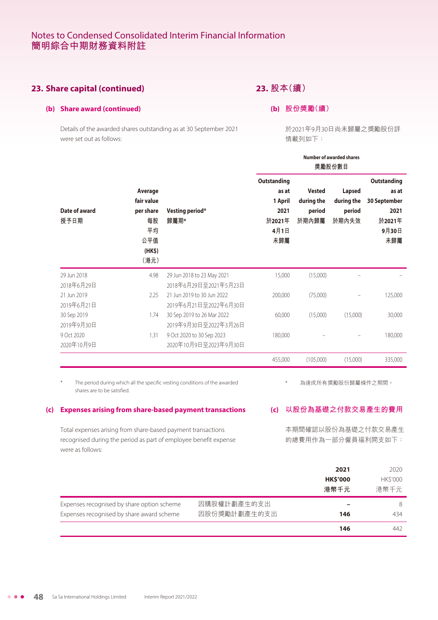# **23. Share capital (continued)**

## **23. 股本(續)**

**(b) 股份獎勵(續)**

**(b) Share award (continued)**

Details of the awarded shares outstanding as at 30 September 2021 were set out as follows:

於2021年9月30日尚未歸屬之獎勵股份詳 情載列如下:

|                                                                                                                                                      |                         |                                                                  |                                                                              |                                         | Number of awarded shares<br>獎勵股份數目                                            |                                 |                          |  |
|------------------------------------------------------------------------------------------------------------------------------------------------------|-------------------------|------------------------------------------------------------------|------------------------------------------------------------------------------|-----------------------------------------|-------------------------------------------------------------------------------|---------------------------------|--------------------------|--|
| Average<br>fair value<br>Date of award<br>per share<br>授予日期<br>每股<br>平均<br>公平值<br>(HK\$)<br>(港元)                                                     | Vesting period*<br>歸屬期* | Outstanding<br>as at<br>1 April<br>2021<br>於2021年<br>4月1日<br>未歸屬 | <b>Vested</b><br>during the<br>period<br>於期內歸屬                               | Lapsed<br>during the<br>period<br>於期內失效 | <b>Outstanding</b><br>as at<br>30 September<br>2021<br>於2021年<br>9月30日<br>未歸屬 |                                 |                          |  |
| 29 Jun 2018                                                                                                                                          | 4.98                    |                                                                  | 29 Jun 2018 to 23 May 2021                                                   | 15,000                                  | (15,000)                                                                      |                                 |                          |  |
| 2018年6月29日<br>21 Jun 2019<br>2019年6月21日                                                                                                              | 2.25                    |                                                                  | 2018年6月29日至2021年5月23日<br>21 Jun 2019 to 30 Jun 2022<br>2019年6月21日至2022年6月30日 | 200,000                                 | (75,000)                                                                      |                                 | 125,000                  |  |
| 30 Sep 2019<br>2019年9月30日                                                                                                                            | 1.74                    |                                                                  | 30 Sep 2019 to 26 Mar 2022<br>2019年9月30日至2022年3月26日                          | 60,000                                  | (15,000)                                                                      | (15.000)                        | 30,000                   |  |
| 9 Oct 2020<br>2020年10月9日                                                                                                                             | 1.31                    |                                                                  | 9 Oct 2020 to 30 Sep 2023<br>2020年10月9日至2023年9月30日                           | 180,000                                 |                                                                               |                                 | 180,000                  |  |
|                                                                                                                                                      |                         |                                                                  |                                                                              | 455,000                                 | (105,000)                                                                     | (15,000)                        | 335,000                  |  |
| shares are to be satisfied.<br><b>Expenses arising from share-based payment transactions</b><br>(c)                                                  |                         |                                                                  | The period during which all the specific vesting conditions of the awarded   | (c)                                     | 以股份為基礎之付款交易產生的費用                                                              | 為達成所有獎勵股份歸屬條件之期間。               |                          |  |
| Total expenses arising from share-based payment transactions<br>recognised during the period as part of employee benefit expense<br>were as follows: |                         |                                                                  |                                                                              |                                         | 本期間確認以股份為基礎之付款交易產生<br>的總費用作為一部分僱員福利開支如下:                                      |                                 |                          |  |
|                                                                                                                                                      |                         |                                                                  |                                                                              |                                         |                                                                               | 2021<br><b>HK\$'000</b><br>港幣千元 | 2020<br>HK\$'000<br>港幣千元 |  |
| Expenses recognised by share option scheme<br>Expenses recognised by share award scheme                                                              |                         |                                                                  | 因購股權計劃產生的支出<br>因股份獎勵計劃產生的支出                                                  |                                         |                                                                               | 146                             | 8<br>434                 |  |
|                                                                                                                                                      |                         |                                                                  |                                                                              |                                         |                                                                               | 146                             | 442                      |  |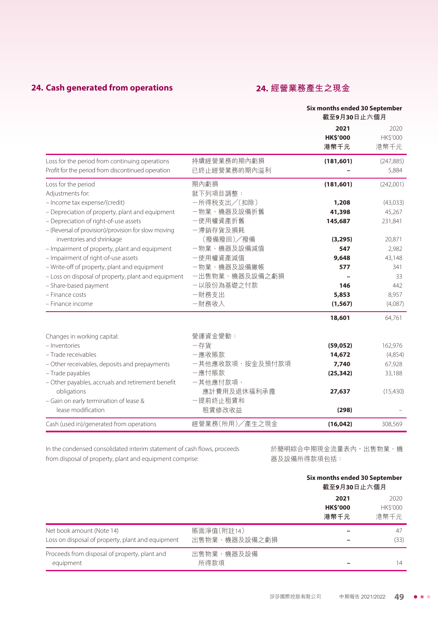# **24. Cash generated from operations 24. 經營業務產生之現金**

|                                                                                                     |                             | Six months ended 30 September<br>截至9月30日止六個月 |                          |
|-----------------------------------------------------------------------------------------------------|-----------------------------|----------------------------------------------|--------------------------|
|                                                                                                     |                             | 2021<br><b>HK\$'000</b><br>港幣千元              | 2020<br>HK\$'000<br>港幣千元 |
| Loss for the period from continuing operations<br>Profit for the period from discontinued operation | 持續經營業務的期內虧損<br>已終止經營業務的期內溢利 | (181, 601)                                   | (247, 885)<br>5,884      |
| Loss for the period<br>Adjustments for:                                                             | 期內虧損<br>就下列項目調整:            | (181, 601)                                   | (242,001)                |
| - Income tax expense/(credit)                                                                       | 一所得税支出/(扣除)                 | 1,208                                        | (43,033)                 |
| - Depreciation of property, plant and equipment                                                     | 一物業、機器及設備折舊                 | 41,398                                       | 45,267                   |
| - Depreciation of right-of-use assets<br>- (Reversal of provision)/provision for slow moving        | 一使用權資產折舊<br>一滯銷存貨及損耗        | 145,687                                      | 231,841                  |
| inventories and shrinkage                                                                           | (撥備撥回)/撥備                   | (3, 295)                                     | 20,871                   |
| - Impairment of property, plant and equipment                                                       | 一物業、機器及設備減值                 | 547                                          | 2,982                    |
| - Impairment of right-of-use assets                                                                 | 一使用權資產減值                    | 9,648                                        | 43,148                   |
| - Write-off of property, plant and equipment                                                        | 一物業、機器及設備撇帳                 | 577                                          | 341                      |
| - Loss on disposal of property, plant and equipment                                                 | 一出售物業、機器及設備之虧損              |                                              | 33                       |
| - Share-based payment                                                                               | 一以股份為基礎之付款                  | 146                                          | 442                      |
| - Finance costs                                                                                     | 一財務支出                       | 5,853                                        | 8,957                    |
| - Finance income                                                                                    | 一財務收入                       | (1, 567)                                     | (4,087)                  |
|                                                                                                     |                             | 18,601                                       | 64,761                   |
| Changes in working capital:                                                                         | 營運資金變動:                     |                                              |                          |
| - Inventories                                                                                       | 一存貨                         | (59, 052)                                    | 162,976                  |
| - Trade receivables                                                                                 | 一應收賬款                       | 14,672                                       | (4,854)                  |
| - Other receivables, deposits and prepayments                                                       | 一其他應收款項、按金及預付款項             | 7,740                                        | 67,928                   |
| - Trade payables                                                                                    | 一應付賬款                       | (25, 342)                                    | 33,188                   |
| - Other payables, accruals and retirement benefit                                                   | 一其他應付款項、                    |                                              |                          |
| obligations                                                                                         | 應計費用及退休福利承擔                 | 27,637                                       | (15,430)                 |
| - Gain on early termination of lease &                                                              | 一提前終止租賃和                    |                                              |                          |
| lease modification                                                                                  | 租賃修改收益                      | (298)                                        |                          |
| Cash (used in)/generated from operations                                                            | 經營業務(所用)/產生之現金              | (16, 042)                                    | 308,569                  |

In the condensed consolidated interim statement of cash flows, proceeds from disposal of property, plant and equipment comprise:

於簡明綜合中期現金流量表內,出售物業、機 器及設備所得款項包括:

|                                                                                |                             | Six months ended 30 September<br>截至9月30日止六個月 |                                |
|--------------------------------------------------------------------------------|-----------------------------|----------------------------------------------|--------------------------------|
|                                                                                |                             | 2021<br><b>HK\$'000</b><br>港幣千元              | 2020<br><b>HKS'000</b><br>港幣千元 |
| Net book amount (Note 14)<br>Loss on disposal of property, plant and equipment | 賬面淨值(附註14)<br>出售物業、機器及設備之虧損 |                                              | 47<br>(33)                     |
| Proceeds from disposal of property, plant and<br>equipment                     | 出售物業、機器及設備<br>所得款項          |                                              | 14                             |